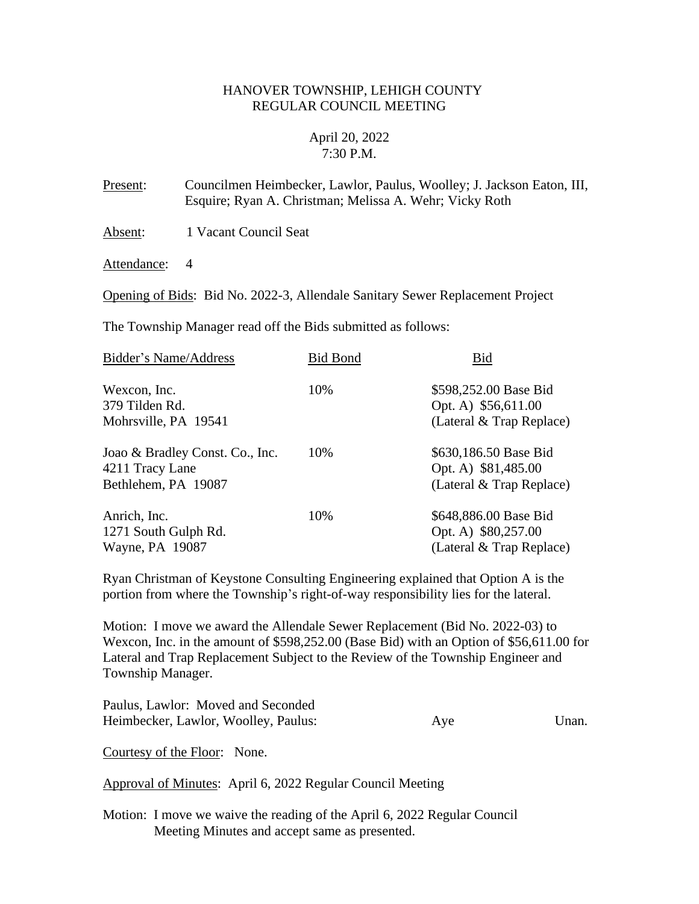## HANOVER TOWNSHIP, LEHIGH COUNTY REGULAR COUNCIL MEETING

# April 20, 2022 7:30 P.M.

Present: Councilmen Heimbecker, Lawlor, Paulus, Woolley; J. Jackson Eaton, III, Esquire; Ryan A. Christman; Melissa A. Wehr; Vicky Roth

Absent: 1 Vacant Council Seat

Attendance: 4

Opening of Bids: Bid No. 2022-3, Allendale Sanitary Sewer Replacement Project

The Township Manager read off the Bids submitted as follows:

| Bidder's Name/Address           | <b>Bid Bond</b> | Bid                         |
|---------------------------------|-----------------|-----------------------------|
| Wexcon, Inc.                    | 10%             | \$598,252.00 Base Bid       |
| 379 Tilden Rd.                  |                 | Opt. A) \$56,611.00         |
| Mohrsville, PA 19541            |                 | (Lateral $\&$ Trap Replace) |
| Joao & Bradley Const. Co., Inc. | 10%             | \$630,186.50 Base Bid       |
| 4211 Tracy Lane                 |                 | Opt. A) \$81,485.00         |
| Bethlehem, PA 19087             |                 | (Lateral $&$ Trap Replace)  |
| Anrich, Inc.                    | 10%             | \$648,886.00 Base Bid       |
| 1271 South Gulph Rd.            |                 | Opt. A) \$80,257.00         |
| Wayne, PA 19087                 |                 | (Lateral & Trap Replace)    |

Ryan Christman of Keystone Consulting Engineering explained that Option A is the portion from where the Township's right-of-way responsibility lies for the lateral.

Motion: I move we award the Allendale Sewer Replacement (Bid No. 2022-03) to Wexcon, Inc. in the amount of \$598,252.00 (Base Bid) with an Option of \$56,611.00 for Lateral and Trap Replacement Subject to the Review of the Township Engineer and Township Manager.

| Paulus, Lawlor: Moved and Seconded   |     |       |
|--------------------------------------|-----|-------|
| Heimbecker, Lawlor, Woolley, Paulus: | Aye | Unan. |

Courtesy of the Floor: None.

Approval of Minutes: April 6, 2022 Regular Council Meeting

Motion: I move we waive the reading of the April 6, 2022 Regular Council Meeting Minutes and accept same as presented.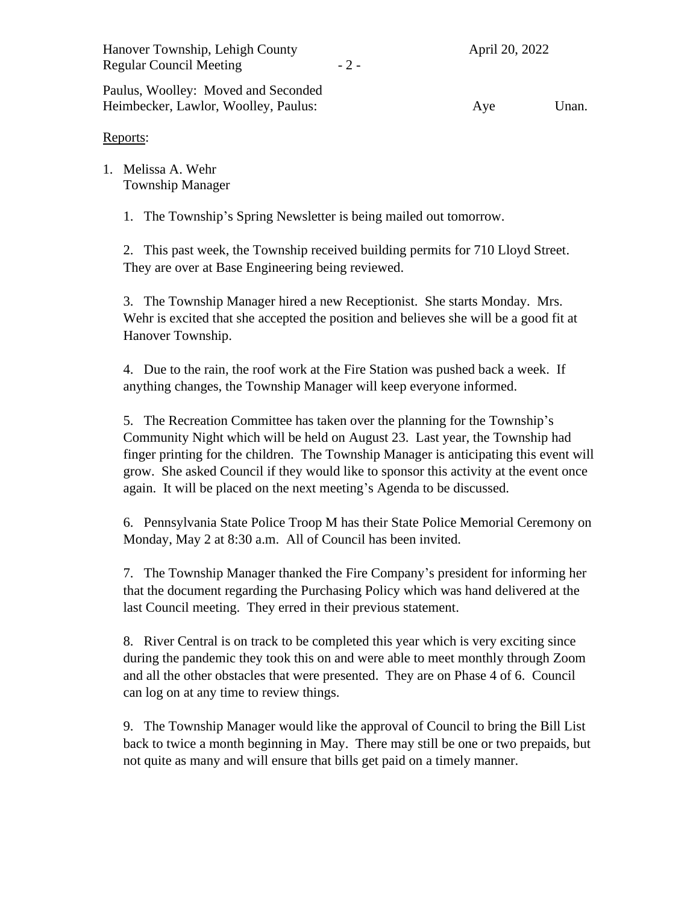Hanover Township, Lehigh County April 20, 2022 Regular Council Meeting  $-2$  -

Paulus, Woolley: Moved and Seconded Heimbecker, Lawlor, Woolley, Paulus: Aye Unan.

# Reports:

1. Melissa A. Wehr Township Manager

1. The Township's Spring Newsletter is being mailed out tomorrow.

2. This past week, the Township received building permits for 710 Lloyd Street. They are over at Base Engineering being reviewed.

3. The Township Manager hired a new Receptionist. She starts Monday. Mrs. Wehr is excited that she accepted the position and believes she will be a good fit at Hanover Township.

4. Due to the rain, the roof work at the Fire Station was pushed back a week. If anything changes, the Township Manager will keep everyone informed.

5. The Recreation Committee has taken over the planning for the Township's Community Night which will be held on August 23. Last year, the Township had finger printing for the children. The Township Manager is anticipating this event will grow. She asked Council if they would like to sponsor this activity at the event once again. It will be placed on the next meeting's Agenda to be discussed.

6. Pennsylvania State Police Troop M has their State Police Memorial Ceremony on Monday, May 2 at 8:30 a.m. All of Council has been invited.

7. The Township Manager thanked the Fire Company's president for informing her that the document regarding the Purchasing Policy which was hand delivered at the last Council meeting. They erred in their previous statement.

8. River Central is on track to be completed this year which is very exciting since during the pandemic they took this on and were able to meet monthly through Zoom and all the other obstacles that were presented. They are on Phase 4 of 6. Council can log on at any time to review things.

9. The Township Manager would like the approval of Council to bring the Bill List back to twice a month beginning in May. There may still be one or two prepaids, but not quite as many and will ensure that bills get paid on a timely manner.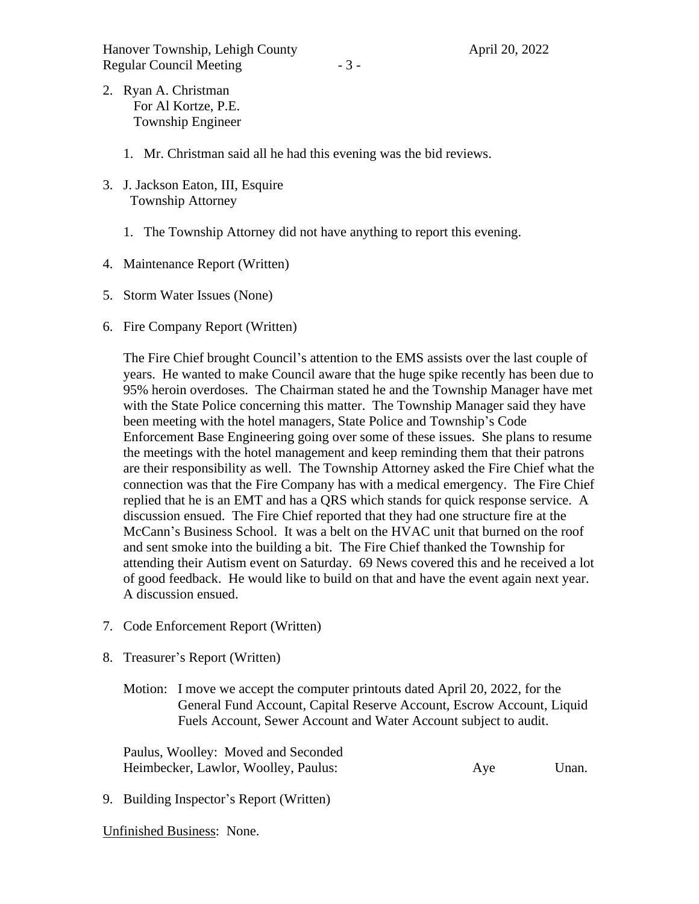- 2. Ryan A. Christman For Al Kortze, P.E. Township Engineer
	- 1. Mr. Christman said all he had this evening was the bid reviews.
- 3. J. Jackson Eaton, III, Esquire Township Attorney
	- 1. The Township Attorney did not have anything to report this evening.
- 4. Maintenance Report (Written)
- 5. Storm Water Issues (None)
- 6. Fire Company Report (Written)

The Fire Chief brought Council's attention to the EMS assists over the last couple of years. He wanted to make Council aware that the huge spike recently has been due to 95% heroin overdoses. The Chairman stated he and the Township Manager have met with the State Police concerning this matter. The Township Manager said they have been meeting with the hotel managers, State Police and Township's Code Enforcement Base Engineering going over some of these issues. She plans to resume the meetings with the hotel management and keep reminding them that their patrons are their responsibility as well. The Township Attorney asked the Fire Chief what the connection was that the Fire Company has with a medical emergency. The Fire Chief replied that he is an EMT and has a QRS which stands for quick response service. A discussion ensued. The Fire Chief reported that they had one structure fire at the McCann's Business School. It was a belt on the HVAC unit that burned on the roof and sent smoke into the building a bit. The Fire Chief thanked the Township for attending their Autism event on Saturday. 69 News covered this and he received a lot of good feedback. He would like to build on that and have the event again next year. A discussion ensued.

- 7. Code Enforcement Report (Written)
- 8. Treasurer's Report (Written)
	- Motion: I move we accept the computer printouts dated April 20, 2022, for the General Fund Account, Capital Reserve Account, Escrow Account, Liquid Fuels Account, Sewer Account and Water Account subject to audit.

Paulus, Woolley: Moved and Seconded Heimbecker, Lawlor, Woolley, Paulus: Aye Unan.

9. Building Inspector's Report (Written)

Unfinished Business: None.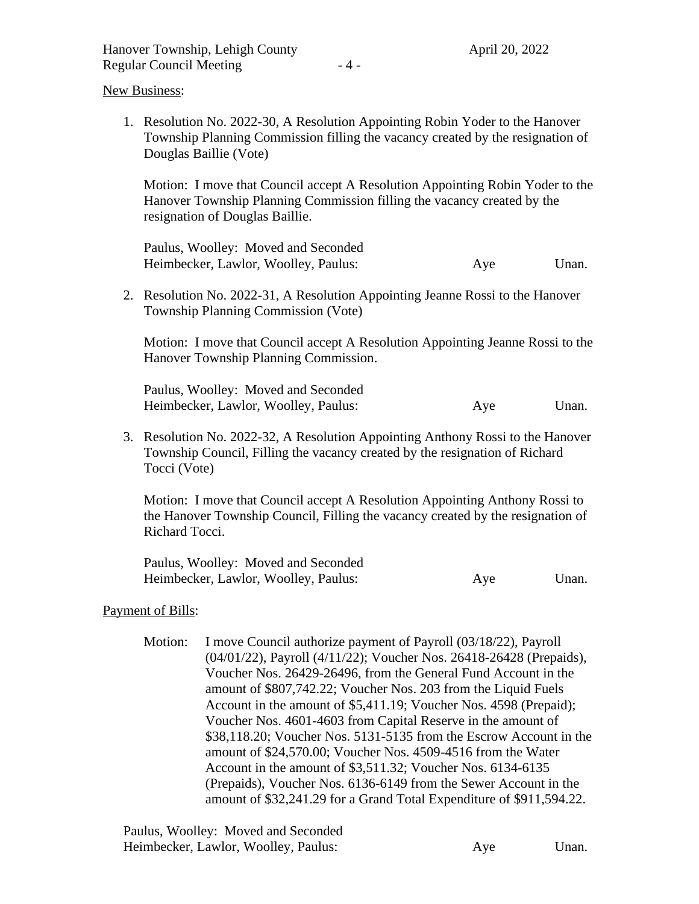New Business:

1. Resolution No. 2022-30, A Resolution Appointing Robin Yoder to the Hanover Township Planning Commission filling the vacancy created by the resignation of Douglas Baillie (Vote)

Motion: I move that Council accept A Resolution Appointing Robin Yoder to the Hanover Township Planning Commission filling the vacancy created by the resignation of Douglas Baillie.

Paulus, Woolley: Moved and Seconded Heimbecker, Lawlor, Woolley, Paulus: Aye Unan.

2. Resolution No. 2022-31, A Resolution Appointing Jeanne Rossi to the Hanover Township Planning Commission (Vote)

Motion: I move that Council accept A Resolution Appointing Jeanne Rossi to the Hanover Township Planning Commission.

Paulus, Woolley: Moved and Seconded Heimbecker, Lawlor, Woolley, Paulus: Aye Unan.

3. Resolution No. 2022-32, A Resolution Appointing Anthony Rossi to the Hanover Township Council, Filling the vacancy created by the resignation of Richard Tocci (Vote)

Motion: I move that Council accept A Resolution Appointing Anthony Rossi to the Hanover Township Council, Filling the vacancy created by the resignation of Richard Tocci.

Paulus, Woolley: Moved and Seconded Heimbecker, Lawlor, Woolley, Paulus: Aye Unan.

#### Payment of Bills:

Motion: I move Council authorize payment of Payroll (03/18/22), Payroll (04/01/22), Payroll (4/11/22); Voucher Nos. 26418-26428 (Prepaids), Voucher Nos. 26429-26496, from the General Fund Account in the amount of \$807,742.22; Voucher Nos. 203 from the Liquid Fuels Account in the amount of \$5,411.19; Voucher Nos. 4598 (Prepaid); Voucher Nos. 4601-4603 from Capital Reserve in the amount of \$38,118.20; Voucher Nos. 5131-5135 from the Escrow Account in the amount of \$24,570.00; Voucher Nos. 4509-4516 from the Water Account in the amount of \$3,511.32; Voucher Nos. 6134-6135 (Prepaids), Voucher Nos. 6136-6149 from the Sewer Account in the amount of \$32,241.29 for a Grand Total Expenditure of \$911,594.22.

| Paulus, Woolley: Moved and Seconded  |     |       |
|--------------------------------------|-----|-------|
| Heimbecker, Lawlor, Woolley, Paulus: | Aye | Unan. |